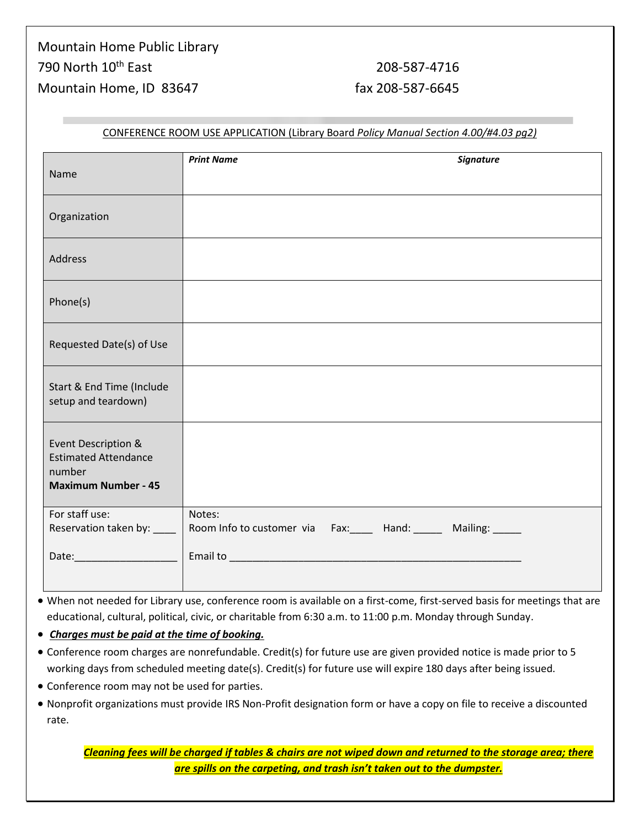| Name                                                                                       | <b>Signature</b><br><b>Print Name</b>                            |
|--------------------------------------------------------------------------------------------|------------------------------------------------------------------|
| Organization                                                                               |                                                                  |
| Address                                                                                    |                                                                  |
| Phone(s)                                                                                   |                                                                  |
| Requested Date(s) of Use                                                                   |                                                                  |
| Start & End Time (Include<br>setup and teardown)                                           |                                                                  |
| Event Description &<br><b>Estimated Attendance</b><br>number<br><b>Maximum Number - 45</b> |                                                                  |
| For staff use:<br>Reservation taken by: ____                                               | Notes:<br>Room Info to customer via Fax: Hand: Mailing: Mailing: |
|                                                                                            |                                                                  |

#### CONFERENCE ROOM USE APPLICATION (Library Board *Policy Manual Section 4.00/#4.03 pg2)*

- When not needed for Library use, conference room is available on a first-come, first-served basis for meetings that are educational, cultural, political, civic, or charitable from 6:30 a.m. to 11:00 p.m. Monday through Sunday.
- *Charges must be paid at the time of booking.*
- Conference room charges are nonrefundable. Credit(s) for future use are given provided notice is made prior to 5 working days from scheduled meeting date(s). Credit(s) for future use will expire 180 days after being issued.
- Conference room may not be used for parties.
- Nonprofit organizations must provide IRS Non-Profit designation form or have a copy on file to receive a discounted rate.

*Cleaning fees will be charged if tables & chairs are not wiped down and returned to the storage area; there are spills on the carpeting, and trash isn't taken out to the dumpster.*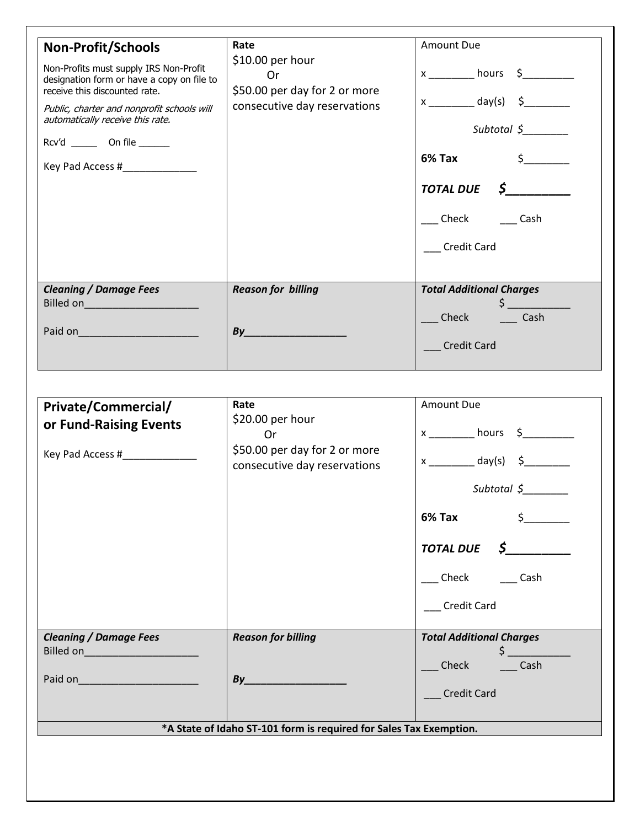| <b>Non-Profit/Schools</b><br>Non-Profits must supply IRS Non-Profit<br>designation form or have a copy on file to<br>receive this discounted rate.<br>Public, charter and nonprofit schools will<br>automatically receive this rate.<br>Rcv'd _______ On file ______<br>Key Pad Access # | Rate<br>$$10.00$ per hour<br>0r<br>\$50.00 per day for 2 or more<br>consecutive day reservations | Amount Due<br>$x \longrightarrow$ hours $\oint$<br>$x \underline{\hspace{1cm}} \text{day(s)} \quad \xi \underline{\hspace{1cm}}$<br>Subtotal $\zeta$<br>6% Tax<br>$\sharp$ and $\sharp$<br><b>TOTAL DUE</b><br>$\mathcal{S}$ and $\mathcal{S}$<br>Check<br>Cash<br><b>Credit Card</b> |
|------------------------------------------------------------------------------------------------------------------------------------------------------------------------------------------------------------------------------------------------------------------------------------------|--------------------------------------------------------------------------------------------------|---------------------------------------------------------------------------------------------------------------------------------------------------------------------------------------------------------------------------------------------------------------------------------------|
| <b>Cleaning / Damage Fees</b><br>Billed on________________________<br>Paid on                                                                                                                                                                                                            | <b>Reason for billing</b><br>By                                                                  | <b>Total Additional Charges</b><br>Cash<br>Check<br><b>Credit Card</b>                                                                                                                                                                                                                |

| Private/Commercial/<br>or Fund-Raising Events<br>Key Pad Access #______________ | Rate<br>\$20.00 per hour<br>0r<br>\$50.00 per day for 2 or more<br>consecutive day reservations       | Amount Due<br>$x$ ___________ hours $\zeta$ _________<br>$x$ ______________ day(s) $\zeta$ ___________<br>Subtotal $\zeta$<br>$6\%$ Tax $\qquad \qquad \S$<br>$\overline{TOTAL DUE}$ $\zeta$<br>Check Cash |
|---------------------------------------------------------------------------------|-------------------------------------------------------------------------------------------------------|------------------------------------------------------------------------------------------------------------------------------------------------------------------------------------------------------------|
| <b>Cleaning / Damage Fees</b><br>Billed on______________________<br>Paid on     | <b>Reason for billing</b><br>By<br>*A State of Idaho ST-101 form is required for Sales Tax Exemption. | <b>Credit Card</b><br><b>Total Additional Charges</b><br>$\frac{1}{2}$<br>_Check _____Cash<br><b>Credit Card</b>                                                                                           |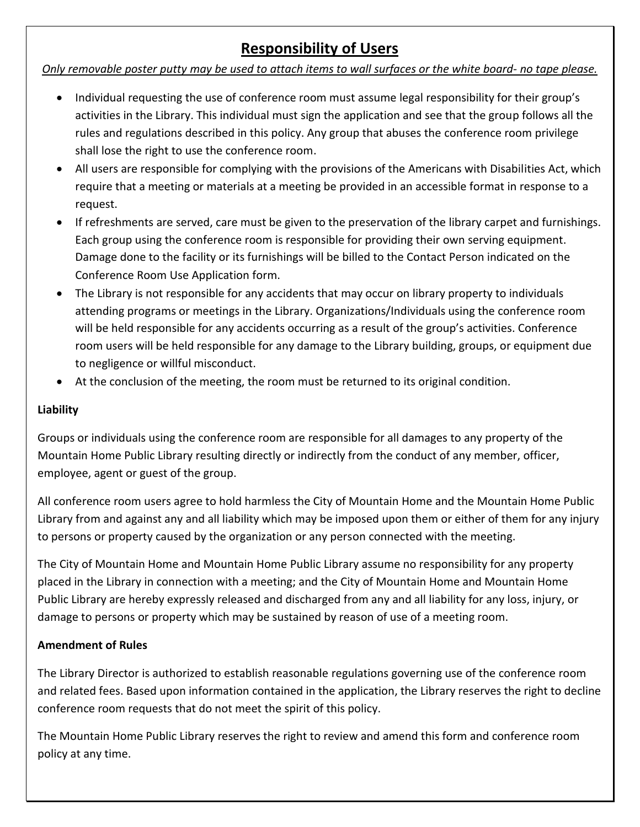## **Responsibility of Users**

#### *Only removable poster putty may be used to attach items to wall surfaces or the white board- no tape please.*

- Individual requesting the use of conference room must assume legal responsibility for their group's activities in the Library. This individual must sign the application and see that the group follows all the rules and regulations described in this policy. Any group that abuses the conference room privilege shall lose the right to use the conference room.
- All users are responsible for complying with the provisions of the Americans with Disabilities Act, which require that a meeting or materials at a meeting be provided in an accessible format in response to a request.
- If refreshments are served, care must be given to the preservation of the library carpet and furnishings. Each group using the conference room is responsible for providing their own serving equipment. Damage done to the facility or its furnishings will be billed to the Contact Person indicated on the Conference Room Use Application form.
- The Library is not responsible for any accidents that may occur on library property to individuals attending programs or meetings in the Library. Organizations/Individuals using the conference room will be held responsible for any accidents occurring as a result of the group's activities. Conference room users will be held responsible for any damage to the Library building, groups, or equipment due to negligence or willful misconduct.
- At the conclusion of the meeting, the room must be returned to its original condition.

### **Liability**

Groups or individuals using the conference room are responsible for all damages to any property of the Mountain Home Public Library resulting directly or indirectly from the conduct of any member, officer, employee, agent or guest of the group.

All conference room users agree to hold harmless the City of Mountain Home and the Mountain Home Public Library from and against any and all liability which may be imposed upon them or either of them for any injury to persons or property caused by the organization or any person connected with the meeting.

The City of Mountain Home and Mountain Home Public Library assume no responsibility for any property placed in the Library in connection with a meeting; and the City of Mountain Home and Mountain Home Public Library are hereby expressly released and discharged from any and all liability for any loss, injury, or damage to persons or property which may be sustained by reason of use of a meeting room.

#### **Amendment of Rules**

The Library Director is authorized to establish reasonable regulations governing use of the conference room and related fees. Based upon information contained in the application, the Library reserves the right to decline conference room requests that do not meet the spirit of this policy.

The Mountain Home Public Library reserves the right to review and amend this form and conference room policy at any time.